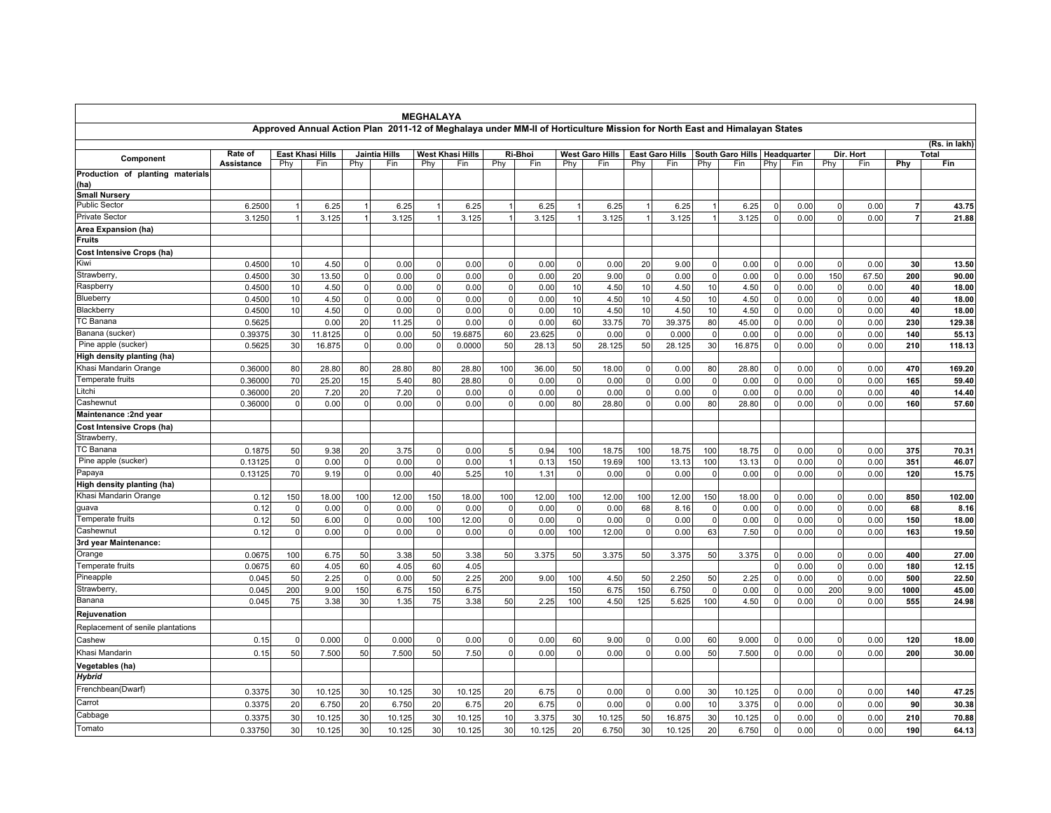|                                          |            |             |                         |                |                                                                                                                          | <b>MEGHALAYA</b> |                  |              |         |          |                        |              |                        |              |                  |                |               |              |           |      |        |
|------------------------------------------|------------|-------------|-------------------------|----------------|--------------------------------------------------------------------------------------------------------------------------|------------------|------------------|--------------|---------|----------|------------------------|--------------|------------------------|--------------|------------------|----------------|---------------|--------------|-----------|------|--------|
|                                          |            |             |                         |                | Approved Annual Action Plan 2011-12 of Meghalaya under MM-II of Horticulture Mission for North East and Himalayan States |                  |                  |              |         |          |                        |              |                        |              |                  |                |               |              |           |      |        |
|                                          |            |             |                         |                |                                                                                                                          |                  |                  |              |         |          |                        |              |                        |              |                  |                | (Rs. in lakh) |              |           |      |        |
| Component                                | Rate of    |             | <b>East Khasi Hills</b> |                | Jaintia Hills                                                                                                            |                  | West Khasi Hills |              | Ri-Bhoi |          | <b>West Garo Hills</b> |              | <b>East Garo Hills</b> |              | South Garo Hills |                | Headquarter   |              | Dir. Hort |      | Total  |
|                                          | Assistance | Phy         | Fin                     | Phy            | Fin                                                                                                                      | Phy              | Fin              | Phy          | Fin     | Phy      | Fin                    | Phy          | Fin                    | Phy          | Fin              | Phy            | Fin           | Phy          | Fin       | Phy  | Fin    |
| Production of planting materials<br>(ha) |            |             |                         |                |                                                                                                                          |                  |                  |              |         |          |                        |              |                        |              |                  |                |               |              |           |      |        |
| <b>Small Nursery</b>                     |            |             |                         |                |                                                                                                                          |                  |                  |              |         |          |                        |              |                        |              |                  |                |               |              |           |      |        |
| <b>Public Sector</b>                     | 6.2500     |             | 6.25                    |                | 6.25                                                                                                                     |                  | 6.25             |              | 6.25    |          | 6.25                   | 1            | 6.25                   |              | 6.25             | $\Omega$       | 0.00          | $\Omega$     | 0.00      | 7    | 43.75  |
| Private Sector                           | 3.1250     |             | 3.125                   |                | 3.125                                                                                                                    |                  | 3.125            |              | 3.125   |          | 3.125                  |              | 3.125                  |              | 3.125            | $\mathbf 0$    | 0.00          |              | 0.00      |      | 21.88  |
| Area Expansion (ha)                      |            |             |                         |                |                                                                                                                          |                  |                  |              |         |          |                        |              |                        |              |                  |                |               |              |           |      |        |
| Fruits                                   |            |             |                         |                |                                                                                                                          |                  |                  |              |         |          |                        |              |                        |              |                  |                |               |              |           |      |        |
| Cost Intensive Crops (ha)                |            |             |                         |                |                                                                                                                          |                  |                  |              |         |          |                        |              |                        |              |                  |                |               |              |           |      |        |
| Kiwi                                     | 0.4500     | 10          | 4.50                    | $\Omega$       | 0.00                                                                                                                     | $\Omega$         | 0.00             | $\mathbf 0$  | 0.00    |          | 0.00                   | 20           | 9.00                   | $\mathbf{0}$ | 0.00             | $\mathbf 0$    | 0.00          | $\Omega$     | 0.00      | 30   | 13.50  |
| Strawberry                               | 0.4500     | 30          | 13.50                   | $\overline{0}$ | 0.00                                                                                                                     | $\Omega$         | 0.00             | $\Omega$     | 0.00    | 20       | 9.00                   | $\Omega$     | 0.00                   | $\Omega$     | 0.00             | 0              | 0.00          | 150          | 67.50     | 200  | 90.00  |
| Raspberry                                | 0.4500     | 10          | 4.50                    | $\mathbf 0$    | 0.00                                                                                                                     | $\mathbf 0$      | 0.00             | $\mathbf 0$  | 0.00    | 10       | 4.50                   | 10           | 4.50                   | 10           | 4.50             | $\mathbf 0$    | 0.00          | $\mathbf{0}$ | 0.00      | 40   | 18.00  |
| Blueberry                                | 0.4500     | 10          | 4.50                    | $\mathbf 0$    | 0.00                                                                                                                     | $\mathbf 0$      | 0.00             | $\mathbf 0$  | 0.00    | 10       | 4.50                   | 10           | 4.50                   | 10           | 4.50             | $\mathbf 0$    | 0.00          | $\mathbf 0$  | 0.00      | 40   | 18.00  |
| Blackberry                               | 0.4500     | 10          | 4.50                    | $\mathbf{0}$   | 0.00                                                                                                                     | $\mathbf 0$      | 0.00             | $\mathbf 0$  | 0.00    | 10       | 4.50                   | 10           | 4.50                   | 10           | 4.50             | $\mathbf 0$    | 0.00          | $\Omega$     | 0.00      | 40   | 18.00  |
| <b>TC Banana</b>                         | 0.5625     |             | 0.00                    | 20             | 11.25                                                                                                                    | $\Omega$         | 0.00             | $\mathbf 0$  | 0.00    | 60       | 33.75                  | 70           | 39.375                 | 80           | 45.00            | $\Omega$       | 0.00          |              | 0.00      | 230  | 129.38 |
| Banana (sucker)                          | 0.39375    | 30          | 11.8125                 | $\mathbf 0$    | 0.00                                                                                                                     | 50               | 19.6875          | 60           | 23.625  | $\Omega$ | 0.00                   | $\mathbf 0$  | 0.000                  | $\mathbf 0$  | 0.00             | $\Omega$       | 0.00          | $\Omega$     | 0.00      | 140  | 55.13  |
| Pine apple (sucker)                      | 0.5625     | 30          | 16.875                  | $\mathbf{0}$   | 0.00                                                                                                                     | 0                | 0.0000           | 50           | 28.13   | 50       | 28.125                 | 50           | 28.125                 | 30           | 16.875           | $\mathbf 0$    | 0.00          | $\Omega$     | 0.00      | 210  | 118.13 |
| High density planting (ha)               |            |             |                         |                |                                                                                                                          |                  |                  |              |         |          |                        |              |                        |              |                  |                |               |              |           |      |        |
| Khasi Mandarin Orange                    | 0.36000    | 80          | 28.80                   | 80             | 28.80                                                                                                                    | 80               | 28.80            | 100          | 36.00   | 50       | 18.00                  | $\Omega$     | 0.00                   | 80           | 28.80            | 0              | 0.00          | $\Omega$     | 0.00      | 470  | 169.20 |
| Temperate fruits                         | 0.36000    | 70          | 25.20                   | 15             | 5.40                                                                                                                     | 80               | 28.80            | $\mathbf 0$  | 0.00    | $\Omega$ | 0.00                   | $\mathbf{0}$ | 0.00                   | $\mathbf 0$  | 0.00             | $\mathbf 0$    | 0.00          | $\mathbf 0$  | 0.00      | 165  | 59.40  |
| Litchi                                   | 0.36000    | 20          | 7.20                    | 20             | 7.20                                                                                                                     | $\mathbf 0$      | 0.00             | $\mathbf 0$  | 0.00    | $\Omega$ | 0.00                   | $\Omega$     | 0.00                   | $\mathbf 0$  | 0.00             | $\mathbf 0$    | 0.00          | $\Omega$     | 0.00      | 40   | 14.40  |
| Cashewnut                                | 0.36000    | $\Omega$    | 0.00                    | $\mathbf{0}$   | 0.00                                                                                                                     | $\mathbf 0$      | 0.00             | $\mathbf 0$  | 0.00    | 80       | 28.80                  | $\Omega$     | 0.00                   | 80           | 28.80            | $\Omega$       | 0.00          | $\Omega$     | 0.00      | 160  | 57.60  |
| Maintenance : 2nd year                   |            |             |                         |                |                                                                                                                          |                  |                  |              |         |          |                        |              |                        |              |                  |                |               |              |           |      |        |
| Cost Intensive Crops (ha)                |            |             |                         |                |                                                                                                                          |                  |                  |              |         |          |                        |              |                        |              |                  |                |               |              |           |      |        |
| <b>Strawberry</b>                        |            |             |                         |                |                                                                                                                          |                  |                  |              |         |          |                        |              |                        |              |                  |                |               |              |           |      |        |
| TC Banana                                | 0.1875     | 50          | 9.38                    | 20             | 3.75                                                                                                                     | $\mathbf 0$      | 0.00             | 5            | 0.94    | 100      | 18.75                  | 100          | 18.75                  | 100          | 18.75            | $\mathbf 0$    | 0.00          | $\Omega$     | 0.00      | 375  | 70.31  |
| Pine apple (sucker)                      | 0.13125    | $\Omega$    | 0.00                    | $\Omega$       | 0.00                                                                                                                     | $\mathbf 0$      | 0.00             | $\mathbf{1}$ | 0.13    | 150      | 19.69                  | 100          | 13.13                  | 100          | 13.13            | $\mathbf 0$    | 0.00          | $\Omega$     | 0.00      | 351  | 46.07  |
| Papaya                                   | 0.13125    | 70          | 9.19                    | $\mathbf 0$    | 0.00                                                                                                                     | 40               | 5.25             | 10           | 1.31    |          | 0.00                   | $\Omega$     | 0.00                   | $\Omega$     | 0.00             | $\mathbf 0$    | 0.00          | $\Omega$     | 0.00      | 120  | 15.75  |
| High density planting (ha)               |            |             |                         |                |                                                                                                                          |                  |                  |              |         |          |                        |              |                        |              |                  |                |               |              |           |      |        |
| Khasi Mandarin Orange                    | 0.12       | 150         | 18.00                   | 100            | 12.00                                                                                                                    | 150              | 18.00            | 100          | 12.00   | 100      | 12.00                  | 100          | 12.00                  | 150          | 18.00            | 0              | 0.00          | $\Omega$     | 0.00      | 850  | 102.00 |
| quava                                    | 0.12       | $\Omega$    | 0.00                    | 0              | 0.00                                                                                                                     | $\Omega$         | 0.00             | $\mathbf 0$  | 0.00    |          | 0.00                   | 68           | 8.16                   | $\mathbf{0}$ | 0.00             | $\mathbf 0$    | 0.00          | $\Omega$     | 0.00      | 68   | 8.16   |
| Temperate fruits                         | 0.12       | 50          | 6.00                    | $\mathbf 0$    | 0.00                                                                                                                     | 100              | 12.00            | $\mathbf 0$  | 0.00    |          | 0.00                   | $\Omega$     | 0.00                   | $\Omega$     | 0.00             | $\overline{0}$ | 0.00          |              | 0.00      | 150  | 18.00  |
| Cashewnut                                | 0.12       | $\mathbf 0$ | 0.00                    | $\mathbf 0$    | 0.00                                                                                                                     | $\mathbf 0$      | 0.00             | $\mathbf 0$  | 0.00    | 100      | 12.00                  | $\mathbf 0$  | 0.00                   | 63           | 7.50             | $\Omega$       | 0.00          | $\Omega$     | 0.00      | 163  | 19.50  |
| 3rd year Maintenance:                    |            |             |                         |                |                                                                                                                          |                  |                  |              |         |          |                        |              |                        |              |                  |                |               |              |           |      |        |
| Orange                                   | 0.0675     | 100         | 6.75                    | 50             | 3.38                                                                                                                     | 50               | 3.38             | 50           | 3.375   | 50       | 3.375                  | 50           | 3.375                  | 50           | 3.375            | $\mathbf 0$    | 0.00          | $\Omega$     | 0.00      | 400  | 27.00  |
| Temperate fruits                         | 0.0675     | 60          | 4.05                    | 60             | 4.05                                                                                                                     | 60               | 4.05             |              |         |          |                        |              |                        |              |                  | $\Omega$       | 0.00          |              | 0.00      | 180  | 12.15  |
| Pineapple                                | 0.045      | 50          | 2.25                    | $\mathbf 0$    | 0.00                                                                                                                     | 50               | 2.25             | 200          | 9.00    | 100      | 4.50                   | 50           | 2.250                  | 50           | 2.25             | $\Omega$       | 0.00          | $\Omega$     | 0.00      | 500  | 22.50  |
| Strawberry                               | 0.045      | 200         | 9.00                    | 150            | 6.75                                                                                                                     | 150              | 6.75             |              |         | 150      | 6.75                   | 150          | 6.750                  | $\mathbf 0$  | 0.00             | $\mathbf 0$    | 0.00          | 200          | 9.00      | 1000 | 45.00  |
| Banana                                   | 0.045      | 75          | 3.38                    | 30             | 1.35                                                                                                                     | 75               | 3.38             | 50           | 2.25    | 100      | 4.50                   | 125          | 5.625                  | 100          | 4.50             | $\Omega$       | 0.00          | $\Omega$     | 0.00      | 555  | 24.98  |
| Rejuvenation                             |            |             |                         |                |                                                                                                                          |                  |                  |              |         |          |                        |              |                        |              |                  |                |               |              |           |      |        |
| Replacement of senile plantations        |            |             |                         |                |                                                                                                                          |                  |                  |              |         |          |                        |              |                        |              |                  |                |               |              |           |      |        |
| Cashew                                   | 0.15       | $\Omega$    | 0.000                   | $\Omega$       | 0.000                                                                                                                    | $\Omega$         | 0.00             | $\mathbf 0$  | 0.00    | 60       | 9.00                   | $\Omega$     | 0.00                   | 60           | 9.000            | $\Omega$       | 0.00          |              | 0.00      | 120  | 18.00  |
| Khasi Mandarin                           | 0.15       | 50          | 7.500                   | 50             | 7.500                                                                                                                    | 50               | 7.50             | $\mathbf 0$  | 0.00    | $\Omega$ | 0.00                   | $\Omega$     | 0.00                   | 50           | 7.500            | $\mathbf 0$    | 0.00          | $\Omega$     | 0.00      | 200  | 30.00  |
| Vegetables (ha)                          |            |             |                         |                |                                                                                                                          |                  |                  |              |         |          |                        |              |                        |              |                  |                |               |              |           |      |        |
| <b>Hybrid</b>                            |            |             |                         |                |                                                                                                                          |                  |                  |              |         |          |                        |              |                        |              |                  |                |               |              |           |      |        |
| Frenchbean(Dwarf)                        | 0.3375     | 30          | 10.125                  | 30             | 10.125                                                                                                                   | 30               | 10.125           | 20           | 6.75    | $\Omega$ | 0.00                   | $\Omega$     | 0.00                   | 30           | 10.125           | $\Omega$       | 0.00          | $\Omega$     | 0.00      | 140  | 47.25  |
| Carrot                                   | 0.3375     | 20          | 6.750                   | 20             | 6.750                                                                                                                    | 20               | 6.75             | 20           | 6.75    | $\cap$   | 0.00                   | $\mathbf 0$  | 0.00                   | 10           | 3.375            | $\Omega$       | 0.00          | $\Omega$     | 0.00      | 90   | 30.38  |
| Cabbage                                  | 0.3375     | 30          | 10.125                  | 30             | 10.125                                                                                                                   | 30               | 10.125           | 10           | 3.375   | 30       | 10.125                 | 50           | 16.875                 | 30           | 10.125           | $\Omega$       | 0.00          | $\Omega$     | 0.00      | 210  | 70.88  |
| Tomato                                   |            |             |                         |                |                                                                                                                          |                  |                  |              |         |          |                        |              |                        |              |                  |                |               |              |           |      |        |
|                                          | 0.33750    | 30          | 10.125                  | 30             | 10.125                                                                                                                   | 30               | 10.125           | 30           | 10.125  | 20       | 6.750                  | 30           | 10.125                 | 20           | 6.750            | $\Omega$       | 0.00          | $\Omega$     | 0.00      | 190  | 64.13  |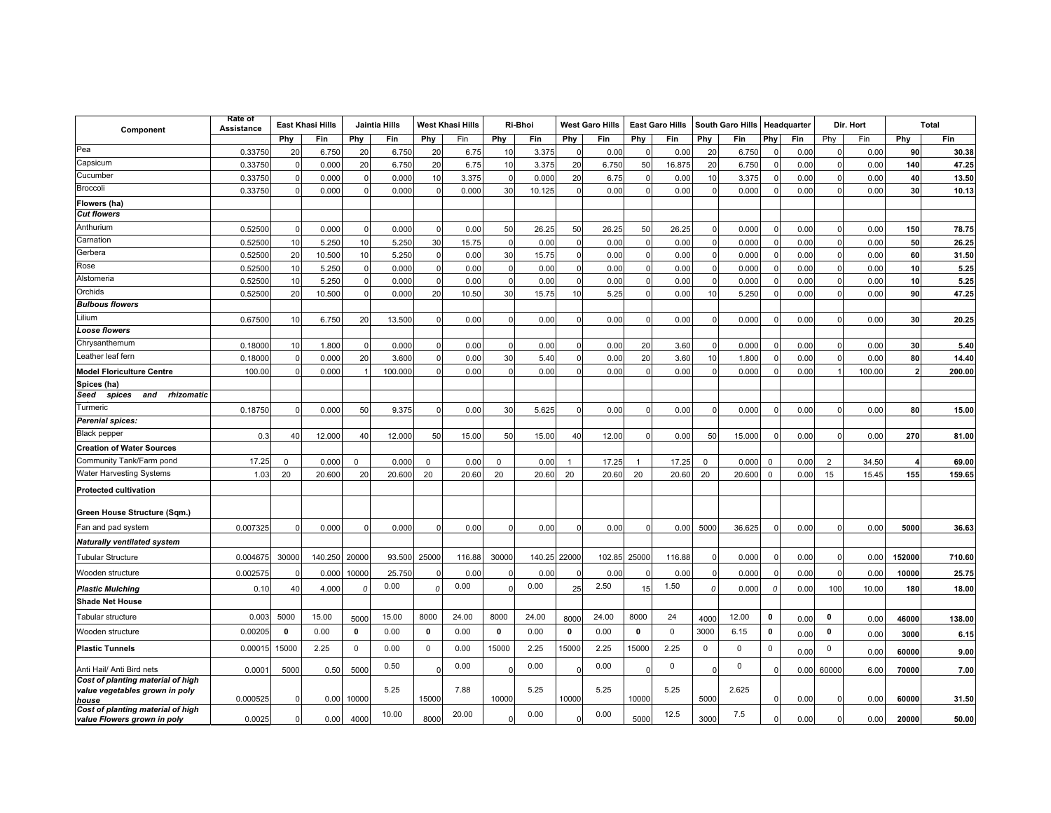| Component                                                                    | Rate of<br>Assistance | East Khasi Hills |            | Jaintia Hills |         | <b>West Khasi Hills</b> |        | Ri-Bhoi      |              | <b>West Garo Hills</b> |        | <b>East Garo Hills</b> |             | <b>South Garo Hills</b> |        | Headquarter  |      | Dir. Hort    |        |                | Total  |
|------------------------------------------------------------------------------|-----------------------|------------------|------------|---------------|---------|-------------------------|--------|--------------|--------------|------------------------|--------|------------------------|-------------|-------------------------|--------|--------------|------|--------------|--------|----------------|--------|
|                                                                              |                       | Phy              | <b>Fin</b> | Phy           | Fin     | Phy                     | Fin    | Phy          | Fin          | Phy                    | Fin    | Phy                    | Fin         | Phy                     | Fin    | Phy          | Fin  | Phy          | Fin    | Phy            | Fin    |
| Pea                                                                          | 0.33750               | 20               | 6.750      | 20            | 6.750   | 20                      | 6.75   | 10           | 3.375        |                        | 0.00   |                        | 0.00        | 20                      | 6.750  |              | 0.00 |              | 0.00   | 90             | 30.38  |
| Capsicum                                                                     | 0.33750               |                  | 0.000      | 20            | 6.750   | 20                      | 6.75   | 10           | 3.375        | 20                     | 6.750  | 50                     | 16.875      | 20                      | 6.750  |              | 0.00 | ſ            | 0.00   | 140            | 47.25  |
| Cucumber                                                                     | 0.33750               | $\Omega$         | 0.000      | $\mathbf{0}$  | 0.000   | 10                      | 3.375  | $\Omega$     | 0.000        | 20                     | 6.75   | $\Omega$               | 0.00        | 10                      | 3.375  |              | 0.00 | $\Omega$     | 0.00   | 40             | 13.50  |
| Broccoli                                                                     | 0.33750               | $\Omega$         | 0.000      | $\mathbf 0$   | 0.00C   | $\Omega$                | 0.000  | 30           | 10.125       | $\mathsf{C}$           | 0.00   | $\Omega$               | 0.00        | $\Omega$                | 0.000  | $\Omega$     | 0.00 | $\Omega$     | 0.00   | 30             | 10.13  |
| Flowers (ha)                                                                 |                       |                  |            |               |         |                         |        |              |              |                        |        |                        |             |                         |        |              |      |              |        |                |        |
| <b>Cut flowers</b>                                                           |                       |                  |            |               |         |                         |        |              |              |                        |        |                        |             |                         |        |              |      |              |        |                |        |
| Anthurium                                                                    | 0.5250                | $\Omega$         | 0.000      | $\Omega$      | 0.000   | $\Omega$                | 0.00   | 50           | 26.25        | 50                     | 26.25  | 50                     | 26.25       |                         | 0.000  | <sup>0</sup> | 0.00 | C            | 0.00   | 150            | 78.75  |
| Carnation                                                                    | 0.52500               | 10               | 5.250      | 10            | 5.250   | 30                      | 15.75  |              | 0.00         |                        | 0.00   | $\Omega$               | 0.00        |                         | 0.000  |              | 0.00 | n            | 0.00   | 50             | 26.25  |
| Gerbera                                                                      | 0.52500               | 20               | 10.500     | 10            | 5.250   | $\Omega$                | 0.00   | 30           | 15.75        |                        | 0.00   | $\Omega$               | 0.00        | ŋ                       | 0.000  | $\Omega$     | 0.00 | $\Omega$     | 0.00   | 60             | 31.50  |
| Rose                                                                         | 0.5250                | 10               | 5.250      | $\mathbf{0}$  | 0.000   | $\mathbf 0$             | 0.00   | $\Omega$     | 0.00         | ſ                      | 0.00   | $\Omega$               | 0.00        |                         | 0.000  | $\Omega$     | 0.00 | $\Omega$     | 0.00   | 10             | 5.25   |
| Alstomeria                                                                   | 0.5250                | 10               | 5.250      | $\mathbf 0$   | 0.00C   | $\mathbf 0$             | 0.00   | 0            | 0.00         |                        | 0.00   | $\Omega$               | 0.00        |                         | 0.000  |              | 0.00 | $\Omega$     | 0.00   | 10             | 5.25   |
| Orchids                                                                      | 0.5250                | 20               | 10.500     | $\Omega$      | 0.000   | 20                      | 10.50  | 30           | 15.75        | 10                     | 5.25   | $\Omega$               | 0.00        | 10                      | 5.250  | $\Omega$     | 0.00 | $\Omega$     | 0.00   | 90             | 47.25  |
| <b>Bulbous flowers</b>                                                       |                       |                  |            |               |         |                         |        |              |              |                        |        |                        |             |                         |        |              |      |              |        |                |        |
| Lilium                                                                       | 0.6750                | 10               | 6.750      | 20            | 13.500  | $\Omega$                | 0.00   |              | 0.00         |                        | 0.00   |                        | 0.00        |                         | 0.000  |              | 0.00 |              | 0.00   | 30             | 20.25  |
| <b>Loose flowers</b>                                                         |                       |                  |            |               |         |                         |        |              |              |                        |        |                        |             |                         |        |              |      |              |        |                |        |
| Chrysanthemum                                                                | 0.18000               | 10               | 1.800      | $\Omega$      | 0.000   | $\Omega$                | 0.00   | <sup>0</sup> | 0.00         |                        | 0.00   | 20                     | 3.60        | n                       | 0.000  |              | 0.00 | ſ            | 0.00   | 30             | 5.40   |
| Leather leaf fern                                                            | 0.1800                | $\Omega$         | 0.000      | 20            | 3.600   | $\Omega$                | 0.00   | 30           | 5.40         |                        | 0.00   | 20                     | 3.60        | 10                      | 1.800  | $\Omega$     | 0.00 | $\Omega$     | 0.00   | 80             | 14.40  |
| <b>Model Floriculture Centre</b>                                             | 100.00                | $\Omega$         | 0.000      |               | 100.000 | $\mathbf 0$             | 0.00   | $\Omega$     | 0.00         |                        | 0.00   | $\Omega$               | 0.00        | O                       | 0.000  |              | 0.00 |              | 100.00 | $\overline{2}$ | 200.00 |
| Spices (ha)<br>and<br>rhizomatic<br>Seed<br>spices                           |                       |                  |            |               |         |                         |        |              |              |                        |        |                        |             |                         |        |              |      |              |        |                |        |
| Turmeric                                                                     | 0.1875                |                  | 0.000      | 50            | 9.375   |                         | 0.00   | 30           | 5.625        |                        | 0.00   |                        | 0.00        |                         | 0.000  |              | 0.00 |              | 0.00   | 80             | 15.00  |
| <b>Perenial spices:</b>                                                      |                       |                  |            |               |         |                         |        |              |              |                        |        |                        |             |                         |        |              |      |              |        |                |        |
| <b>Black pepper</b>                                                          | 0.3                   | 40               | 12.000     | 40            | 12.000  | 50                      | 15.00  | 50           | 15.00        | 40                     | 12.00  |                        | 0.00        | 50                      | 15.000 | n            | 0.00 |              | 0.00   | 270            | 81.00  |
| <b>Creation of Water Sources</b>                                             |                       |                  |            |               |         |                         |        |              |              |                        |        |                        |             |                         |        |              |      |              |        |                |        |
| Community Tank/Farm pond                                                     | 17.25                 | $\Omega$         | 0.000      | $\Omega$      | 0.000   | 0                       | 0.00   | 0            | 0.00         | -1                     | 17.25  | $\overline{1}$         | 17.25       | $\mathbf 0$             | 0.000  | $\mathbf 0$  | 0.00 | 2            | 34.50  |                | 69.00  |
| Water Harvesting Systems                                                     | 1.03                  | 20               | 20.600     | 20            | 20.600  | 20                      | 20.60  | 20           | 20.60        | 20                     | 20.60  | 20                     | 20.60       | 20                      | 20.600 | $\Omega$     | 0.00 | 15           | 15.45  | 155            | 159.65 |
| <b>Protected cultivation</b>                                                 |                       |                  |            |               |         |                         |        |              |              |                        |        |                        |             |                         |        |              |      |              |        |                |        |
| Green House Structure (Sqm.)                                                 |                       |                  |            |               |         |                         |        |              |              |                        |        |                        |             |                         |        |              |      |              |        |                |        |
| Fan and pad system                                                           | 0.007325              |                  | 0.000      | $\Omega$      | 0.000   | $\Omega$                | 0.00   | $\Omega$     | 0.00         |                        | 0.00   |                        | 0.00        | 5000                    | 36.625 |              | 0.00 | $\mathsf{C}$ | 0.00   | 5000           | 36.63  |
| <b>Naturally ventilated system</b>                                           |                       |                  |            |               |         |                         |        |              |              |                        |        |                        |             |                         |        |              |      |              |        |                |        |
| <b>Tubular Structure</b>                                                     | 0.004675              | 30000            | 140.250    | 20000         | 93.500  | 25000                   | 116.88 | 30000        | 140.25 22000 |                        | 102.85 | 25000                  | 116.88      |                         | 0.000  |              | 0.00 |              | 0.00   | 152000         | 710.60 |
| Wooden structure                                                             | 0.002575              |                  | 0.000      | 10000         | 25.750  |                         | 0.00   |              | 0.00         |                        | 0.00   |                        | 0.00        |                         | 0.000  |              | 0.00 |              | 0.00   | 10000          | 25.75  |
| <b>Plastic Mulching</b>                                                      | 0.10                  | 40               | 4.000      | $\Omega$      | 0.00    | $\Omega$                | 0.00   |              | 0.00         | 25                     | 2.50   | 15                     | 1.50        | $\Omega$                | 0.000  | 0            | 0.00 | 100          | 10.00  | 180            | 18.00  |
| <b>Shade Net House</b>                                                       |                       |                  |            |               |         |                         |        |              |              |                        |        |                        |             |                         |        |              |      |              |        |                |        |
| Tabular structure                                                            | 0.003                 | 5000             | 15.00      | 5000          | 15.00   | 8000                    | 24.00  | 8000         | 24.00        | 8000                   | 24.00  | 8000                   | 24          | 4000                    | 12.00  | 0            | 0.00 | 0            | 0.00   | 46000          | 138.00 |
| Wooden structure                                                             | 0.0020                | $\mathbf{0}$     | 0.00       | 0             | 0.00    | $\mathbf{0}$            | 0.00   | $\mathbf{0}$ | 0.00         | 0                      | 0.00   | $\pmb{0}$              | $\Omega$    | 3000                    | 6.15   | $\Omega$     | 0.00 | 0            | 0.00   | 3000           | 6.15   |
| <b>Plastic Tunnels</b>                                                       | 0.00015               | 15000            | 2.25       | $\Omega$      | 0.00    | $\mathbf 0$             | 0.00   | 15000        | 2.25         | 15000                  | 2.25   | 15000                  | 2.25        | $\mathbf 0$             | 0      | 0            | 0.00 | $\mathsf 0$  | 0.00   | 60000          | 9.00   |
| Anti Hail/ Anti Bird nets                                                    | 0.000                 | 5000             | 0.50       | 5000          | 0.50    |                         | 0.00   |              | 0.00         |                        | 0.00   |                        | $\mathbf 0$ |                         | 0      |              | 0.00 | 60000        | 6.00   | 70000          | 7.00   |
| Cost of planting material of high<br>value vegetables grown in poly<br>house | 0.00052               |                  | 0.00       | 10000         | 5.25    | 15000                   | 7.88   | 10000        | 5.25         | 10000                  | 5.25   | 10000                  | 5.25        | 5000                    | 2.625  | <sup>0</sup> | 0.00 |              | 0.00   | 60000          | 31.50  |
| Cost of planting material of high<br>value Flowers grown in poly             | 0.0025                |                  | 0.00       | 4000          | 10.00   | 8000                    | 20.00  |              | 0.00         |                        | 0.00   | 5000                   | 12.5        | 3000                    | 7.5    |              | 0.00 |              | 0.00   | 20000          | 50.00  |